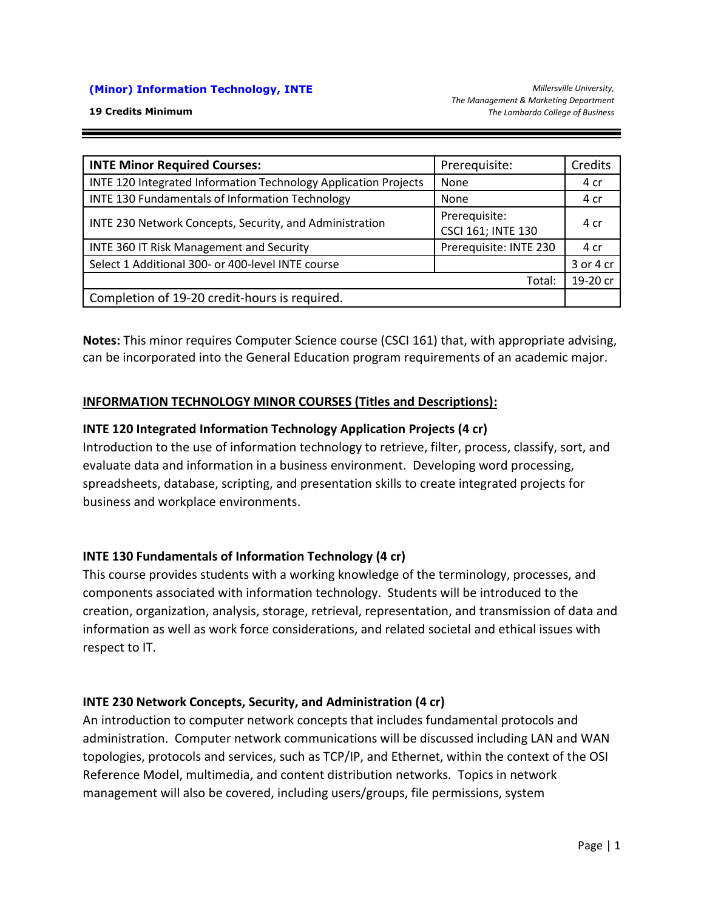#### **(Minor) Information Technology, INTE**

| <b>INTE Minor Required Courses:</b>                             | Prerequisite:                       | Credits   |
|-----------------------------------------------------------------|-------------------------------------|-----------|
| INTE 120 Integrated Information Technology Application Projects | None                                | 4 cr      |
| INTE 130 Fundamentals of Information Technology                 | None                                | 4 cr      |
| INTE 230 Network Concepts, Security, and Administration         | Prerequisite:<br>CSCI 161; INTE 130 | 4 cr      |
| INTE 360 IT Risk Management and Security                        | Prerequisite: INTE 230              | 4 cr      |
| Select 1 Additional 300- or 400-level INTE course               |                                     | 3 or 4 cr |
| Total:                                                          |                                     | 19-20 cr  |
| Completion of 19-20 credit-hours is required.                   |                                     |           |

**Notes:** This minor requires Computer Science course (CSCI 161) that, with appropriate advising, can be incorporated into the General Education program requirements of an academic major.

### **INFORMATION TECHNOLOGY MINOR COURSES (Titles and Descriptions):**

### **INTE 120 Integrated Information Technology Application Projects (4 cr)**

Introduction to the use of information technology to retrieve, filter, process, classify, sort, and evaluate data and information in a business environment. Developing word processing, spreadsheets, database, scripting, and presentation skills to create integrated projects for business and workplace environments.

### **INTE 130 Fundamentals of Information Technology (4 cr)**

This course provides students with a working knowledge of the terminology, processes, and components associated with information technology. Students will be introduced to the creation, organization, analysis, storage, retrieval, representation, and transmission of data and information as well as work force considerations, and related societal and ethical issues with respect to IT.

#### **INTE 230 Network Concepts, Security, and Administration (4 cr)**

An introduction to computer network concepts that includes fundamental protocols and administration. Computer network communications will be discussed including LAN and WAN topologies, protocols and services, such as TCP/IP, and Ethernet, within the context of the OSI Reference Model, multimedia, and content distribution networks. Topics in network management will also be covered, including users/groups, file permissions, system